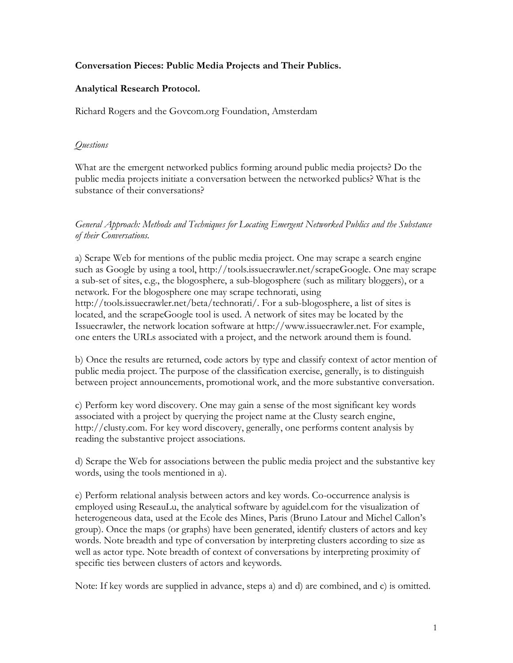### **Conversation Pieces: Public Media Projects and Their Publics.**

### **Analytical Research Protocol.**

Richard Rogers and the Govcom.org Foundation, Amsterdam

### *Questions*

What are the emergent networked publics forming around public media projects? Do the public media projects initiate a conversation between the networked publics? What is the substance of their conversations?

*General Approach: Methods and Techniques for Locating Emergent Networked Publics and the Substance of their Conversations.*

a) Scrape Web for mentions of the public media project. One may scrape a search engine such as Google by using a tool, http://tools.issuecrawler.net/scrapeGoogle. One may scrape a sub-set of sites, e.g., the blogosphere, a sub-blogosphere (such as military bloggers), or a network. For the blogosphere one may scrape technorati, using http://tools.issuecrawler.net/beta/technorati/. For a sub-blogosphere, a list of sites is located, and the scrapeGoogle tool is used. A network of sites may be located by the Issuecrawler, the network location software at http://www.issuecrawler.net. For example, one enters the URLs associated with a project, and the network around them is found.

b) Once the results are returned, code actors by type and classify context of actor mention of public media project. The purpose of the classification exercise, generally, is to distinguish between project announcements, promotional work, and the more substantive conversation.

c) Perform key word discovery. One may gain a sense of the most significant key words associated with a project by querying the project name at the Clusty search engine, http://clusty.com. For key word discovery, generally, one performs content analysis by reading the substantive project associations.

d) Scrape the Web for associations between the public media project and the substantive key words, using the tools mentioned in a).

e) Perform relational analysis between actors and key words. Co-occurrence analysis is employed using ReseauLu, the analytical software by aguidel.com for the visualization of heterogeneous data, used at the Ecole des Mines, Paris (Bruno Latour and Michel Callon's group). Once the maps (or graphs) have been generated, identify clusters of actors and key words. Note breadth and type of conversation by interpreting clusters according to size as well as actor type. Note breadth of context of conversations by interpreting proximity of specific ties between clusters of actors and keywords.

Note: If key words are supplied in advance, steps a) and d) are combined, and c) is omitted.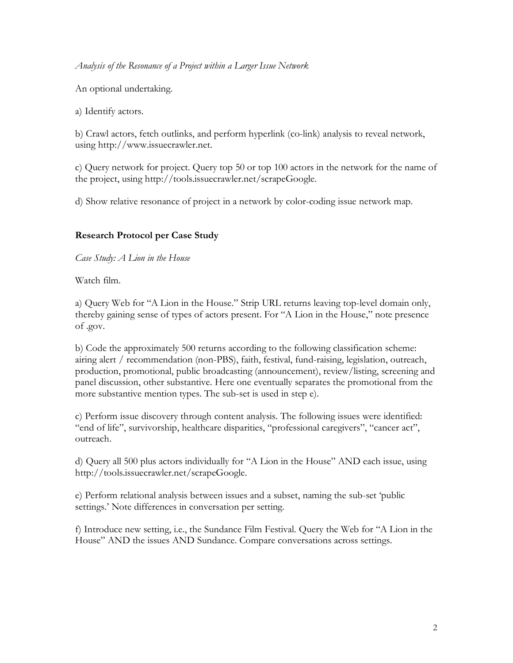*Analysis of the Resonance of a Project within a Larger Issue Network*

An optional undertaking.

a) Identify actors.

b) Crawl actors, fetch outlinks, and perform hyperlink (co-link) analysis to reveal network, using http://www.issuecrawler.net.

c) Query network for project. Query top 50 or top 100 actors in the network for the name of the project, using http://tools.issuecrawler.net/scrapeGoogle.

d) Show relative resonance of project in a network by color-coding issue network map.

### **Research Protocol per Case Study**

*Case Study: A Lion in the House*

Watch film.

a) Query Web for "A Lion in the House." Strip URL returns leaving top-level domain only, thereby gaining sense of types of actors present. For "A Lion in the House," note presence of .gov.

b) Code the approximately 500 returns according to the following classification scheme: airing alert / recommendation (non-PBS), faith, festival, fund-raising, legislation, outreach, production, promotional, public broadcasting (announcement), review/listing, screening and panel discussion, other substantive. Here one eventually separates the promotional from the more substantive mention types. The sub-set is used in step e).

c) Perform issue discovery through content analysis. The following issues were identified: "end of life", survivorship, healthcare disparities, "professional caregivers", "cancer act", outreach.

d) Query all 500 plus actors individually for "A Lion in the House" AND each issue, using http://tools.issuecrawler.net/scrapeGoogle.

e) Perform relational analysis between issues and a subset, naming the sub-set 'public settings.' Note differences in conversation per setting.

f) Introduce new setting, i.e., the Sundance Film Festival. Query the Web for "A Lion in the House" AND the issues AND Sundance. Compare conversations across settings.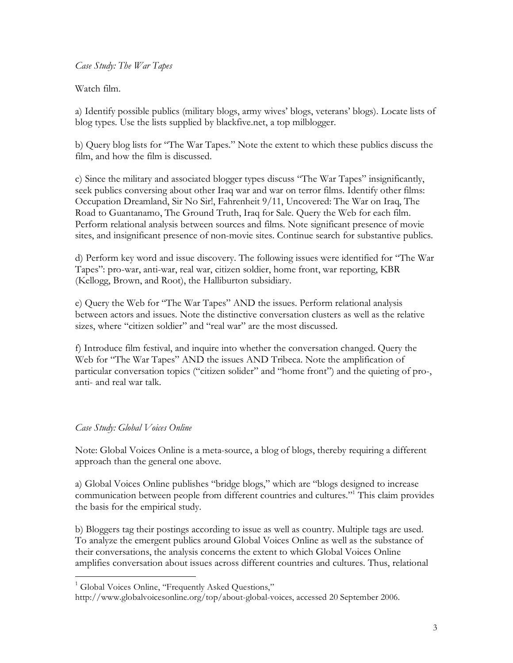### *Case Study: The War Tapes*

Watch film.

a) Identify possible publics (military blogs, army wives' blogs, veterans' blogs). Locate lists of blog types. Use the lists supplied by blackfive.net, a top milblogger.

b) Query blog lists for "The War Tapes." Note the extent to which these publics discuss the film, and how the film is discussed.

c) Since the military and associated blogger types discuss "The War Tapes" insignificantly, seek publics conversing about other Iraq war and war on terror films. Identify other films: Occupation Dreamland, Sir No Sir!, Fahrenheit 9/11, Uncovered: The War on Iraq, The Road to Guantanamo, The Ground Truth, Iraq for Sale. Query the Web for each film. Perform relational analysis between sources and films. Note significant presence of movie sites, and insignificant presence of non-movie sites. Continue search for substantive publics.

d) Perform key word and issue discovery. The following issues were identified for "The War Tapes": pro-war, anti-war, real war, citizen soldier, home front, war reporting, KBR (Kellogg, Brown, and Root), the Halliburton subsidiary.

e) Query the Web for "The War Tapes" AND the issues. Perform relational analysis between actors and issues. Note the distinctive conversation clusters as well as the relative sizes, where "citizen soldier" and "real war" are the most discussed.

f) Introduce film festival, and inquire into whether the conversation changed. Query the Web for "The War Tapes" AND the issues AND Tribeca. Note the amplification of particular conversation topics ("citizen solider" and "home front") and the quieting of pro-, anti- and real war talk.

### *Case Study: Global Voices Online*

 $\overline{a}$ 

Note: Global Voices Online is a meta-source, a blog of blogs, thereby requiring a different approach than the general one above.

a) Global Voices Online publishes "bridge blogs," which are "blogs designed to increase communication between people from different countries and cultures."1 This claim provides the basis for the empirical study.

b) Bloggers tag their postings according to issue as well as country. Multiple tags are used. To analyze the emergent publics around Global Voices Online as well as the substance of their conversations, the analysis concerns the extent to which Global Voices Online amplifies conversation about issues across different countries and cultures. Thus, relational

<sup>&</sup>lt;sup>1</sup> Global Voices Online, "Frequently Asked Questions,"

http://www.globalvoicesonline.org/top/about-global-voices, accessed 20 September 2006.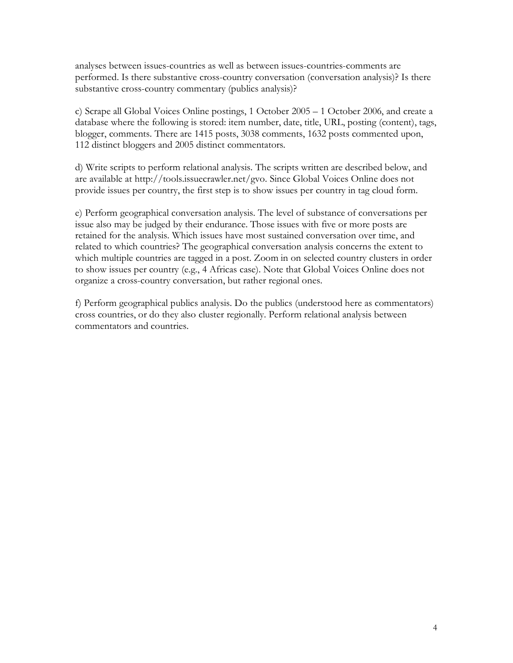analyses between issues-countries as well as between issues-countries-comments are performed. Is there substantive cross-country conversation (conversation analysis)? Is there substantive cross-country commentary (publics analysis)?

c) Scrape all Global Voices Online postings, 1 October 2005 – 1 October 2006, and create a database where the following is stored: item number, date, title, URL, posting (content), tags, blogger, comments. There are 1415 posts, 3038 comments, 1632 posts commented upon, 112 distinct bloggers and 2005 distinct commentators.

d) Write scripts to perform relational analysis. The scripts written are described below, and are available at http://tools.issuecrawler.net/gvo. Since Global Voices Online does not provide issues per country, the first step is to show issues per country in tag cloud form.

e) Perform geographical conversation analysis. The level of substance of conversations per issue also may be judged by their endurance. Those issues with five or more posts are retained for the analysis. Which issues have most sustained conversation over time, and related to which countries? The geographical conversation analysis concerns the extent to which multiple countries are tagged in a post. Zoom in on selected country clusters in order to show issues per country (e.g., 4 Africas case). Note that Global Voices Online does not organize a cross-country conversation, but rather regional ones.

f) Perform geographical publics analysis. Do the publics (understood here as commentators) cross countries, or do they also cluster regionally. Perform relational analysis between commentators and countries.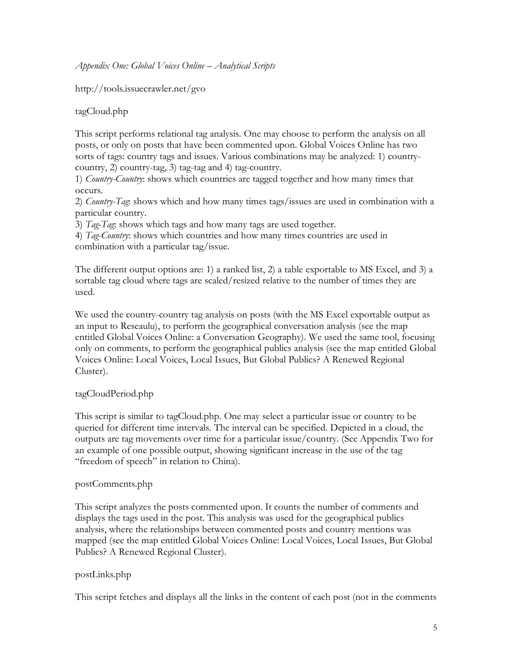*Appendix One: Global Voices Online – Analytical Scripts*

http://tools.issuecrawler.net/gvo

tagCloud.php

This script performs relational tag analysis. One may choose to perform the analysis on all posts, or only on posts that have been commented upon. Global Voices Online has two sorts of tags: country tags and issues. Various combinations may be analyzed: 1) countrycountry, 2) country-tag, 3) tag-tag and 4) tag-country.

1) *Country-Country*: shows which countries are tagged together and how many times that occurs.

2) *Country-Tag*: shows which and how many times tags/issues are used in combination with a particular country.

3) *Tag-Tag*: shows which tags and how many tags are used together.

4) *Tag-Country*: shows which countries and how many times countries are used in combination with a particular tag/issue.

The different output options are: 1) a ranked list, 2) a table exportable to MS Excel, and 3) a sortable tag cloud where tags are scaled/resized relative to the number of times they are used.

We used the country-country tag analysis on posts (with the MS Excel exportable output as an input to Reseaulu), to perform the geographical conversation analysis (see the map entitled Global Voices Online: a Conversation Geography). We used the same tool, focusing only on comments, to perform the geographical publics analysis (see the map entitled Global Voices Online: Local Voices, Local Issues, But Global Publics? A Renewed Regional Cluster).

# tagCloudPeriod.php

This script is similar to tagCloud.php. One may select a particular issue or country to be queried for different time intervals. The interval can be specified. Depicted in a cloud, the outputs are tag movements over time for a particular issue/country. (See Appendix Two for an example of one possible output, showing significant increase in the use of the tag "freedom of speech" in relation to China).

# postComments.php

This script analyzes the posts commented upon. It counts the number of comments and displays the tags used in the post. This analysis was used for the geographical publics analysis, where the relationships between commented posts and country mentions was mapped (see the map entitled Global Voices Online: Local Voices, Local Issues, But Global Publics? A Renewed Regional Cluster).

# postLinks.php

This script fetches and displays all the links in the content of each post (not in the comments